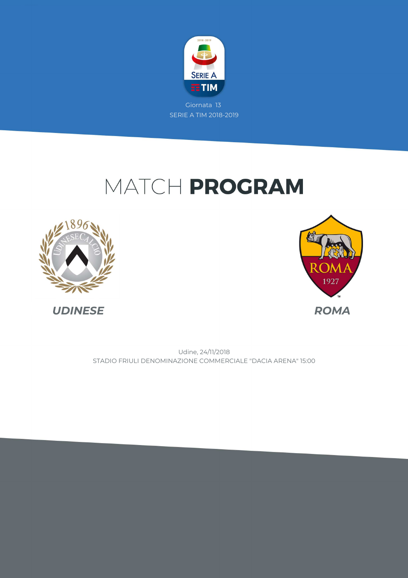

## MATCH PROGRAM





STADIO FRIULI DENOMINAZIONE COMMERCIALE "DACIA ARENA" 15:00 Udine, 24/11/2018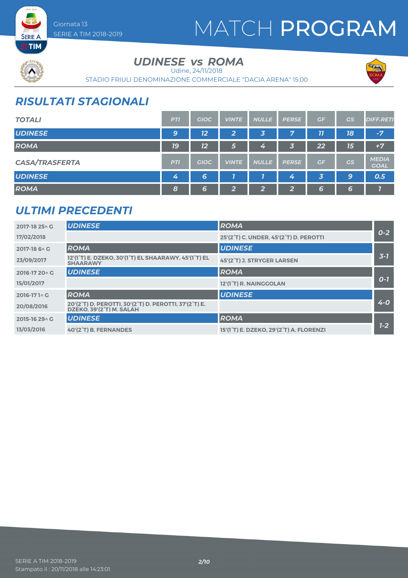## MATCH PROGRAM



### UDINESE *vs* ROMA

Udine, 24/11/2018

STADIO FRIULI DENOMINAZIONE COMMERCIALE "DACIA ARENA" 15:00



## *RISULTATI STAGIONALI*

Giornata 13

SERIE A TIM 2018-2019

| <b>TOTALI</b>         | <b>PTI</b>     | <b>GIOC</b> | <b>VINTE</b>           | <b>NULLE</b> | <b>PERSE</b> | GF | GS | <b>DIFF.RETI</b>            |
|-----------------------|----------------|-------------|------------------------|--------------|--------------|----|----|-----------------------------|
| <b>UDINESE</b>        | 9              | 12          | 2                      | 3            | 7            | 77 | 18 | $-7/$                       |
| <b>ROMA</b>           | <b>19</b>      | 12          | 15                     | 4            | 3            | 22 | 15 | $+7$                        |
| <b>CASA/TRASFERTA</b> | <b>PTI</b>     | <b>GIOC</b> | <b>VINTE</b>           | <b>NULLE</b> | <b>PERSE</b> | GF | GS | <b>MEDIA</b><br><b>GOAL</b> |
| <b>UDINESE</b>        | $\overline{4}$ | 6           |                        |              | 4            | 3  | 9  | 0.5                         |
| <b>ROMA</b>           | 8              | 6           | $\mathbf{\Omega}$<br>≃ | າ            | ີ<br>74      | 6  | 6  |                             |

### *ULTIMI PRECEDENTI*

| 2017-18 25 \ G | <b>UDINESE</b>                                                                    | <b>ROMA</b>                                                       |         |
|----------------|-----------------------------------------------------------------------------------|-------------------------------------------------------------------|---------|
| 17/02/2018     |                                                                                   | 25'(2°T) C. UNDER, 45'(2°T) D. PEROTTI                            | $O - 2$ |
| 2017-18 6 \ G  | <b>ROMA</b>                                                                       | <b>UDINESE</b>                                                    |         |
| 23/09/2017     | 12'(1°T) E. DZEKO, 30'(1°T) EL SHAARAWY, 45'(1°T) EL<br><b>SHAARAWY</b>           | 45'(2°T) J. STRYGER LARSEN                                        | $3 - 7$ |
| 2016-17 20 \ G | <b>UDINESE</b>                                                                    | <b>ROMA</b>                                                       |         |
| 15/01/2017     |                                                                                   | 12'(1°T) R. NAINGGOLAN                                            | $O-7$   |
| 2016-171 ^ G   | <b>ROMA</b>                                                                       | <b>UDINESE</b>                                                    |         |
| 20/08/2016     | 20'(2°T) D. PEROTTI, 30'(2°T) D. PEROTTI, 37'(2°T) E.<br>DZEKO. 39'(2°T) M. SALAH |                                                                   | $4 - 0$ |
| 2015-16 29 \ G | <b>UDINESE</b>                                                                    | <b>ROMA</b>                                                       |         |
| 13/03/2016     | 40'(2°T) B. FERNANDES                                                             | 15'(1 <sup>°</sup> T) E. DZEKO, 29'(2 <sup>°</sup> T) A. FLORENZI | $1 - 2$ |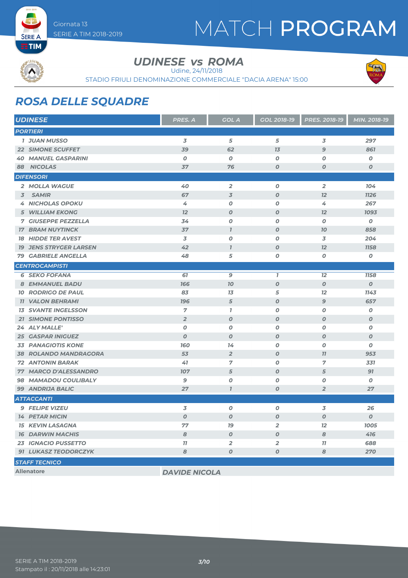## MATCH PROGRAM



SERIE A

UDINESE *vs* ROMA

Udine, 24/11/2018

STADIO FRIULI DENOMINAZIONE COMMERCIALE "DACIA ARENA" 15:00



## *ROSA DELLE SQUADRE*

| <b>UDINESE</b>                | PRES. A              | <b>GOL A</b>     | <b>GOL 2018-19</b>      | PRES. 2018-19    | MIN. 2018-19     |
|-------------------------------|----------------------|------------------|-------------------------|------------------|------------------|
| <b>PORTIERI</b>               |                      |                  |                         |                  |                  |
| <b>1 JUAN MUSSO</b>           | $\overline{3}$       | 5                | 5                       | 3                | 297              |
| <b>22 SIMONE SCUFFET</b>      | 39                   | 62               | 7 <sub>3</sub>          | $\mathbf{9}$     | 861              |
| <b>40 MANUEL GASPARINI</b>    | $\boldsymbol{O}$     | $\boldsymbol{0}$ | $\boldsymbol{O}$        | $\boldsymbol{O}$ | $\pmb{o}$        |
| 88 NICOLAS                    | 37                   | 76               | $\boldsymbol{O}$        | $\boldsymbol{O}$ | $\boldsymbol{0}$ |
| <b>DIFENSORI</b>              |                      |                  |                         |                  |                  |
| 2 MOLLA WAGUE                 | 40                   | $\overline{2}$   | $\boldsymbol{O}$        | $\overline{2}$   | 104              |
| 3 SAMIR                       | 67                   | $\overline{3}$   | $\boldsymbol{O}$        | 12               | <b>1126</b>      |
| <b>4 NICHOLAS OPOKU</b>       | 4                    | O                | $\boldsymbol{O}$        | 4                | 267              |
| <b>5 WILLIAM EKONG</b>        | 12                   | $\boldsymbol{0}$ | $\boldsymbol{O}$        | 12               | 1093             |
| <b>7 GIUSEPPE PEZZELLA</b>    | 34                   | O                | O                       | $\boldsymbol{0}$ | 0                |
| <b>17 BRAM NUYTINCK</b>       | 37                   | $\overline{I}$   | $\boldsymbol{O}$        | 10               | 858              |
| <b>18 HIDDE TER AVEST</b>     | 3                    | $\boldsymbol{o}$ | $\boldsymbol{O}$        | 3                | 204              |
| <b>19 JENS STRYGER LARSEN</b> | 42                   | $\overline{I}$   | $\boldsymbol{O}$        | 12               | <b>1158</b>      |
| <b>79 GABRIELE ANGELLA</b>    | 48                   | 5                | Ο                       | O                | $\pmb{o}$        |
| <b>CENTROCAMPISTI</b>         |                      |                  |                         |                  |                  |
| <b>6 SEKO FOFANA</b>          | 61                   | 9                | $\mathbf{I}$            | 12               | <b>1158</b>      |
| <b>8 EMMANUEL BADU</b>        | 166                  | <b>70</b>        | $\boldsymbol{O}$        | $\boldsymbol{0}$ | $\boldsymbol{0}$ |
| <b>10 RODRIGO DE PAUL</b>     | 83                   | 13               | 5                       | 12               | 1143             |
| <b>11 VALON BEHRAMI</b>       | <b>196</b>           | $\sqrt{5}$       | $\boldsymbol{O}$        | $\mathbf{9}$     | 657              |
| <b>13 SVANTE INGELSSON</b>    | $\overline{7}$       | $\bf{7}$         | $\boldsymbol{O}$        | 0                | 0                |
| <b>21 SIMONE PONTISSO</b>     | $\overline{2}$       | $\boldsymbol{0}$ | $\boldsymbol{O}$        | $\boldsymbol{0}$ | $\boldsymbol{O}$ |
| 24 ALY MALLE'                 | O                    | $\boldsymbol{0}$ | O                       | Ο                | $\boldsymbol{0}$ |
| <b>25 GASPAR INIGUEZ</b>      | $\boldsymbol{O}$     | $\boldsymbol{0}$ | $\boldsymbol{0}$        | $\boldsymbol{O}$ | $\boldsymbol{o}$ |
| <b>33 PANAGIOTIS KONE</b>     | <b>160</b>           | 14               | $\boldsymbol{O}$        | 0                | 0                |
| <b>38 ROLANDO MANDRAGORA</b>  | 53                   | $\overline{2}$   | $\boldsymbol{O}$        | 11               | 953              |
| <b>72 ANTONIN BARAK</b>       | 41                   | 7                | $\boldsymbol{O}$        | 7                | 331              |
| 77 MARCO D'ALESSANDRO         | <b>107</b>           | 5                | $\boldsymbol{O}$        | 5                | 91               |
| 98 MAMADOU COULIBALY          | 9                    | $\boldsymbol{O}$ | 0                       | Ο                | 0                |
| 99 ANDRIJA BALIC              | 27                   | $\overline{I}$   | $\boldsymbol{0}$        | $\overline{2}$   | 27               |
| <b>ATTACCANTI</b>             |                      |                  |                         |                  |                  |
| <b>9 FELIPE VIZEU</b>         | 3                    | O                | O                       | 3                | 26               |
| <b>14 PETAR MICIN</b>         | $\boldsymbol{O}$     | $\boldsymbol{O}$ | 0                       | $\boldsymbol{0}$ | $\boldsymbol{o}$ |
| <b>15 KEVIN LASAGNA</b>       | 77                   | <b>19</b>        | $\overline{2}$          | 12               | 1005             |
| <b>16 DARWIN MACHIS</b>       | 8                    | $\boldsymbol{O}$ | $\boldsymbol{O}$        | 8                | 416              |
| 23 IGNACIO PUSSETTO           | 11                   | $\overline{2}$   | $\overline{\mathbf{2}}$ | 77               | 688              |
| <b>91 LUKASZ TEODORCZYK</b>   | 8                    | $\boldsymbol{O}$ | 0                       | 8                | 270              |
| <b>STAFF TECNICO</b>          |                      |                  |                         |                  |                  |
| <b>Allenatore</b>             | <b>DAVIDE NICOLA</b> |                  |                         |                  |                  |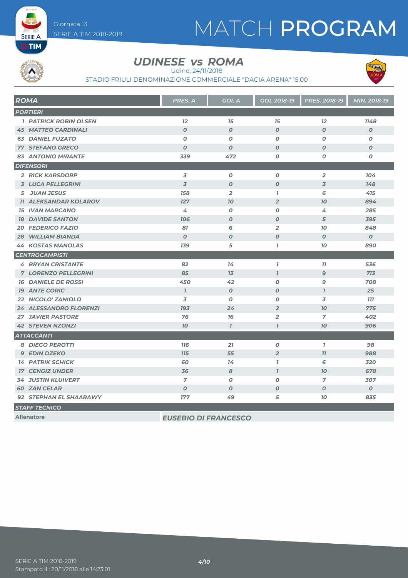# MATCH PROGRAM



**SERIE A** 

### UDINESE *vs* ROMA

Udine, 24/11/2018

STADIO FRIULI DENOMINAZIONE COMMERCIALE "DACIA ARENA" 15:00



| <b>ROMA</b>                  | <b>PRES. A</b>              | <b>GOL A</b>     | <b>GOL 2018-19</b> | PRES. 2018-19    | MIN. 2018-19     |
|------------------------------|-----------------------------|------------------|--------------------|------------------|------------------|
| <b>PORTIERI</b>              |                             |                  |                    |                  |                  |
| <b>1 PATRICK ROBIN OLSEN</b> | 12                          | 15               | 15                 | 12               | 1148             |
| <b>45 MATTEO CARDINALI</b>   | $\boldsymbol{O}$            | $\boldsymbol{0}$ | $\overline{O}$     | $\overline{O}$   | $\boldsymbol{O}$ |
| <b>63 DANIEL FUZATO</b>      | $\boldsymbol{o}$            | $\boldsymbol{0}$ | O                  | 0                | O                |
| <b>77 STEFANO GRECO</b>      | $\boldsymbol{O}$            | $\boldsymbol{0}$ | $\boldsymbol{O}$   | 0                | $\boldsymbol{O}$ |
| <b>83 ANTONIO MIRANTE</b>    | 339                         | 472              | 0                  | 0                | O                |
| <b>DIFENSORI</b>             |                             |                  |                    |                  |                  |
| <b>2 RICK KARSDORP</b>       | 3                           | $\boldsymbol{0}$ | $\boldsymbol{o}$   | $\overline{2}$   | 104              |
| <b>3 LUCA PELLEGRINI</b>     | 3                           | $\boldsymbol{0}$ | $\boldsymbol{O}$   | 3                | 148              |
| 5 JUAN JESUS                 | 158                         | $\overline{2}$   | $\mathbf{I}$       | 6                | 415              |
| <b>11 ALEKSANDAR KOLAROV</b> | 127                         | 70               | $\overline{2}$     | 70               | 894              |
| <b>15 IVAN MARCANO</b>       | 4                           | $\boldsymbol{0}$ | O                  | 4                | 285              |
| <b>18 DAVIDE SANTON</b>      | 706                         | $\boldsymbol{0}$ | $\boldsymbol{O}$   | 5                | 395              |
| <b>20 FEDERICO FAZIO</b>     | 81                          | 6                | $\overline{a}$     | 70               | 848              |
| <b>WILLIAM BIANDA</b><br>28  | $\boldsymbol{0}$            | $\boldsymbol{0}$ | $\boldsymbol{O}$   | $\boldsymbol{O}$ | $\boldsymbol{O}$ |
| <b>44 KOSTAS MANOLAS</b>     | 139                         | 5                | $\mathbf{I}$       | 10               | 890              |
| <b>CENTROCAMPISTI</b>        |                             |                  |                    |                  |                  |
| <b>4 BRYAN CRISTANTE</b>     | 82                          | 14               | $\overline{1}$     | 11               | 536              |
| <b>7 LORENZO PELLEGRINI</b>  | 85                          | 13               | $\overline{I}$     | 9                | 713              |
| <b>16 DANIELE DE ROSSI</b>   | 450                         | 42               | O                  | 9                | 708              |
| <b>19 ANTE CORIC</b>         | $\mathbf{7}$                | $\boldsymbol{0}$ | $\boldsymbol{O}$   | $\mathbf{I}$     | 25               |
| 22 NICOLO' ZANIOLO           | 3                           | $\boldsymbol{O}$ | O                  | 3                | <b>777</b>       |
| 24 ALESSANDRO FLORENZI       | 193                         | 24               | $\overline{2}$     | 70               | 775              |
| <b>27 JAVIER PASTORE</b>     | 76                          | 76               | $\overline{a}$     | 7                | 402              |
| <b>42 STEVEN NZONZI</b>      | 70                          | $\overline{1}$   | $\overline{I}$     | 70               | 906              |
| <b>ATTACCANTI</b>            |                             |                  |                    |                  |                  |
| <b>8 DIEGO PEROTTI</b>       | <b>116</b>                  | 21               | 0                  | $\mathbf{7}$     | 98               |
| <b>9 EDIN DZEKO</b>          | <b>715</b>                  | 55               | $\overline{2}$     | 77               | 988              |
| <b>14 PATRIK SCHICK</b>      | 60                          | 14               | $\mathbf{I}$       | 6                | 320              |
| <b>17 CENGIZ UNDER</b>       | 36                          | 8                | $\mathbf{I}$       | 70               | 678              |
| <b>34 JUSTIN KLUIVERT</b>    | $\overline{7}$              | $\boldsymbol{0}$ | O                  | $\overline{7}$   | 307              |
| <b>60 ZAN CELAR</b>          | $\boldsymbol{O}$            | $\boldsymbol{0}$ | $\boldsymbol{O}$   | $\boldsymbol{O}$ | $\boldsymbol{O}$ |
| 92 STEPHAN EL SHAARAWY       | 177                         | 49               | 5                  | 10               | 835              |
| <b>STAFF TECNICO</b>         |                             |                  |                    |                  |                  |
| <b>Allenatore</b>            | <b>EUSEBIO DI FRANCESCO</b> |                  |                    |                  |                  |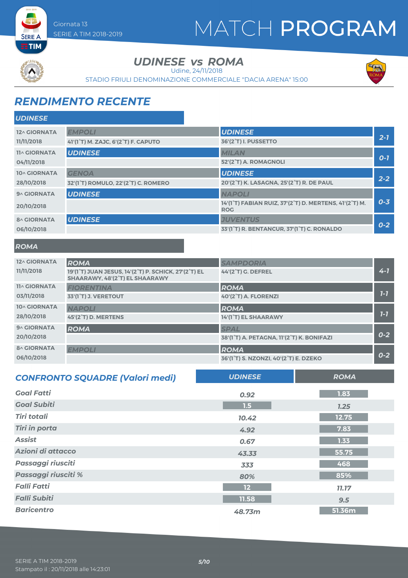## MATCH PROGRAM



**SERIE A** 

*UDINESE*

UDINESE *vs* ROMA

Udine, 24/11/2018

STADIO FRIULI DENOMINAZIONE COMMERCIALE "DACIA ARENA" 15:00



## *RENDIMENTO RECENTE*

| <b>UDINESE</b><br><b>EMPOLI</b><br>12^ GIORNATA<br>$2 - 7$<br><b>36'(2°T) I. PUSSETTO</b><br>11/11/2018<br>41'(1°T) M. ZAJC, 6'(2°T) F. CAPUTO<br><b>UDINESE</b><br><b>MILAN</b><br><b>11^ GIORNATA</b><br>$O-I$<br>52'(2°T) A. ROMAGNOLI<br>04/11/2018<br><b>UDINESE</b><br>10^ GIORNATA<br><b>GENOA</b><br>$2 - 2$<br>20'(2°T) K. LASAGNA, 25'(2°T) R. DE PAUL<br>28/10/2018<br>32'(1°T) ROMULO, 22'(2°T) C. ROMERO<br><b>UDINESE</b><br><b>NAPOLI</b><br>9^ GIORNATA<br>$0 - 3$<br>14'(1°T) FABIAN RUIZ, 37'(2°T) D. MERTENS, 41'(2°T) M.<br>20/10/2018<br><b>ROG</b><br><b>UDINESE</b><br><b>JUVENTUS</b><br><b>8^ GIORNATA</b><br>$0-2$<br>33'(1 <sup>°</sup> T) R. BENTANCUR, 37'(1 <sup>°</sup> T) C. RONALDO<br>06/10/2018 | ULINESE |  |  |
|------------------------------------------------------------------------------------------------------------------------------------------------------------------------------------------------------------------------------------------------------------------------------------------------------------------------------------------------------------------------------------------------------------------------------------------------------------------------------------------------------------------------------------------------------------------------------------------------------------------------------------------------------------------------------------------------------------------------------------|---------|--|--|
|                                                                                                                                                                                                                                                                                                                                                                                                                                                                                                                                                                                                                                                                                                                                    |         |  |  |
|                                                                                                                                                                                                                                                                                                                                                                                                                                                                                                                                                                                                                                                                                                                                    |         |  |  |
|                                                                                                                                                                                                                                                                                                                                                                                                                                                                                                                                                                                                                                                                                                                                    |         |  |  |
|                                                                                                                                                                                                                                                                                                                                                                                                                                                                                                                                                                                                                                                                                                                                    |         |  |  |
|                                                                                                                                                                                                                                                                                                                                                                                                                                                                                                                                                                                                                                                                                                                                    |         |  |  |
|                                                                                                                                                                                                                                                                                                                                                                                                                                                                                                                                                                                                                                                                                                                                    |         |  |  |
|                                                                                                                                                                                                                                                                                                                                                                                                                                                                                                                                                                                                                                                                                                                                    |         |  |  |
|                                                                                                                                                                                                                                                                                                                                                                                                                                                                                                                                                                                                                                                                                                                                    |         |  |  |
|                                                                                                                                                                                                                                                                                                                                                                                                                                                                                                                                                                                                                                                                                                                                    |         |  |  |
|                                                                                                                                                                                                                                                                                                                                                                                                                                                                                                                                                                                                                                                                                                                                    |         |  |  |

#### *ROMA*

| 12^ GIORNATA        | <b>ROMA</b>                                                                            | <b>SAMPDORIA</b>                          |         |
|---------------------|----------------------------------------------------------------------------------------|-------------------------------------------|---------|
| 11/11/2018          | 19'(1°T) JUAN JESUS, 14'(2°T) P. SCHICK, 27'(2°T) EL<br>SHAARAWY, 48'(2°T) EL SHAARAWY | <b>44'(2°T) G. DEFREL</b>                 | $4 - 7$ |
| <b>11^ GIORNATA</b> | <b>FIORENTINA</b>                                                                      | <b>ROMA</b>                               |         |
| 03/11/2018          | 33'(1°T) J. VERETOUT                                                                   | 40'(2°T) A. FLORENZI                      | $7 - 7$ |
| <b>10^ GIORNATA</b> | <b>NAPOLI</b>                                                                          | <b>ROMA</b>                               |         |
| 28/10/2018          | 45'(2°T) D. MERTENS                                                                    | 14'(1°T) EL SHAARAWY                      | $7 - 7$ |
| 9^ GIORNATA         | <b>ROMA</b>                                                                            | <b>SPAL</b>                               |         |
| 20/10/2018          |                                                                                        | 38'(1°T) A. PETAGNA, 11'(2°T) K. BONIFAZI | $0 - 2$ |
| <b>8^ GIORNATA</b>  | <b>EMPOLI</b>                                                                          | <b>ROMA</b>                               |         |
| 06/10/2018          |                                                                                        | 36'(1°T) S. NZONZI, 40'(2°T) E. DZEKO     | $0 - 2$ |

| <b>CONFRONTO SQUADRE (Valori medi)</b> | <b>UDINESE</b>    | <b>ROMA</b>  |
|----------------------------------------|-------------------|--------------|
| <b>Goal Fatti</b>                      | 0.92              | 1.83         |
| <b>Goal Subiti</b>                     | 1.5               | 1.25         |
| <b>Tiri totali</b>                     | 10.42             | 12.75        |
| <b>Tiri in porta</b>                   | 4.92              | 7.83         |
| <b>Assist</b>                          | 0.67              | 1.33         |
| Azioni di attacco                      | 43.33             | 55.75        |
| Passaggi riusciti                      | 333               | 468          |
| Passaggi riusciti %                    | 80%               | 85%          |
| <b>Falli Fatti</b>                     | $12 \overline{ }$ | <b>11.17</b> |
| <b>Falli Subiti</b>                    | 11.58             | 9.5          |
| <b>Baricentro</b>                      | 48.73m            | 51.36m       |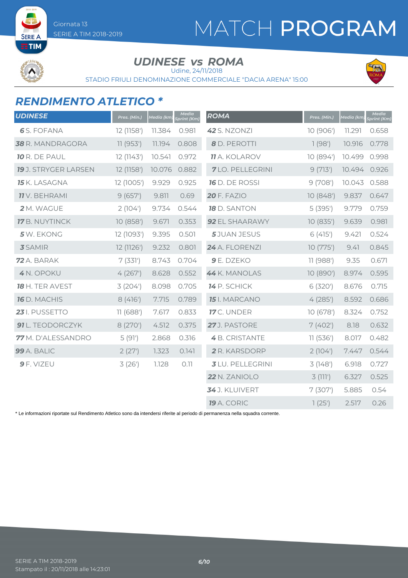## MATCH PROGRAM



### UDINESE *vs* ROMA

Udine, 24/11/2018

STADIO FRIULI DENOMINAZIONE COMMERCIALE "DACIA ARENA" 15:00



### *RENDIMENTO ATLETICO \**

SERIE A TIM 2018-2019

Giornata 13

| <b>UDINESE</b>              | Pres. (Min.) | Media (km) | <b>Media</b><br>print (Km) | <b>ROMA</b>             | Pres. (Min.) | Media (km) | <b>Media</b><br>Sprint (Km) |
|-----------------------------|--------------|------------|----------------------------|-------------------------|--------------|------------|-----------------------------|
| <b>6</b> S. FOFANA          | 12 (1158')   | 11.384     | 0.981                      | 42 S. NZONZI            | 10 (906')    | 11.291     | 0.658                       |
| 38 R. MANDRAGORA            | 11(953)      | 11.194     | 0.808                      | 8 D. PEROTTI            | 1(98)        | 10.916     | 0.778                       |
| <b>10 R. DE PAUL</b>        | 12 (1143')   | 10.541     | 0.972                      | <b>11</b> A. KOLAROV    | 10 (894')    | 10.499     | 0.998                       |
| <b>19</b> J. STRYGER LARSEN | 12 (1158')   | 10.076     | 0.882                      | <b>7</b> LO. PELLEGRINI | 9(713)       | 10.494     | 0.926                       |
| <b>15</b> K. LASAGNA        | 12 (1005')   | 9.929      | 0.925                      | <b>16</b> D. DE ROSSI   | 9(708)       | 10.043     | 0.588                       |
| <b>11</b> V. BEHRAMI        | 9(657)       | 9.811      | 0.69                       | <b>20 F. FAZIO</b>      | 10(848)      | 9.837      | 0.647                       |
| 2 M. WAGUE                  | 2(104)       | 9.734      | 0.544                      | <b>18</b> D. SANTON     | 5(395)       | 9.779      | 0.759                       |
| 17 B. NUYTINCK              | 10 (858')    | 9.671      | 0.353                      | 92 EL SHAARAWY          | 10 (835')    | 9.639      | 0.981                       |
| 5 W. EKONG                  | 12 (1093')   | 9.395      | 0.501                      | <b>5</b> JUAN JESUS     | 6(415)       | 9.421      | 0.524                       |
| <b>3</b> SAMIR              | 12 (1126')   | 9.232      | 0.801                      | 24 A. FLORENZI          | 10(775)      | 9.41       | 0.845                       |
| 72 A. BARAK                 | 7(331)       | 8.743      | 0.704                      | 9 E. DZEKO              | 11 (988')    | 9.35       | 0.671                       |
| 4 N. OPOKU                  | 4(267)       | 8.628      | 0.552                      | 44 K. MANOLAS           | 10 (890')    | 8.974      | 0.595                       |
| 18 H. TER AVEST             | 3(204)       | 8.098      | 0.705                      | 14 P. SCHICK            | 6 (320')     | 8.676      | 0.715                       |
| 16 D. MACHIS                | 8(416)       | 7.715      | 0.789                      | <b>15</b> I. MARCANO    | 4(285)       | 8.592      | 0.686                       |
| 23 I. PUSSETTO              | 11(688)      | 7.617      | 0.833                      | 17 C. UNDER             | 10(678)      | 8.324      | 0.752                       |
| 91 L. TEODORCZYK            | 8 (270')     | 4.512      | 0.375                      | 27J. PASTORE            | 7(402)       | 8.18       | 0.632                       |
| 77 M. D'ALESSANDRO          | 5(91)        | 2.868      | 0.316                      | 4 B. CRISTANTE          | 11(536)      | 8.017      | 0.482                       |
| 99 A. BALIC                 | 2(27)        | 1.323      | 0.141                      | 2 R. KARSDORP           | 2(104)       | 7.447      | 0.544                       |
| $9$ F. VIZEU                | 3(26)        | 1.128      | 0.11                       | <b>3</b> LU. PELLEGRINI | 3(148)       | 6.918      | 0.727                       |
|                             |              |            |                            | 22 N. ZANIOLO           | 3(111')      | 6.327      | 0.525                       |
|                             |              |            |                            | 34 J. KLUIVERT          | 7(307)       | 5.885      | 0.54                        |
|                             |              |            |                            | 19 A. CORIC             | 1(25)        | 2.517      | 0.26                        |

\* Le informazioni riportate sul Rendimento Atletico sono da intendersi riferite al periodo di permanenza nella squadra corrente.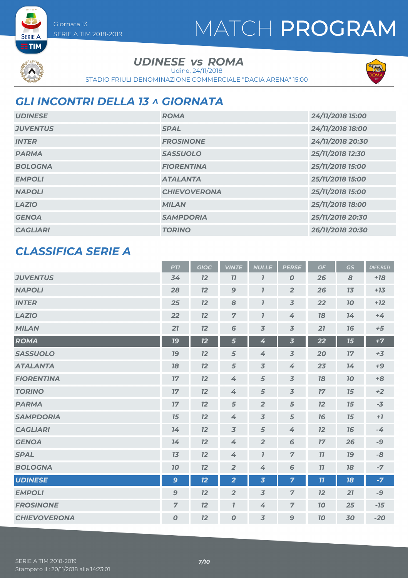## MATCH PROGRAM



**SERIE A** 

UDINESE *vs* ROMA

Udine, 24/11/2018

STADIO FRIULI DENOMINAZIONE COMMERCIALE "DACIA ARENA" 15:00



## *GLI INCONTRI DELLA 13 ^ GIORNATA*

| <b>UDINESE</b>  | <b>ROMA</b>         | 24/11/2018 15:00 |
|-----------------|---------------------|------------------|
| <b>JUVENTUS</b> | <b>SPAL</b>         | 24/11/2018 18:00 |
| <b>INTER</b>    | <b>FROSINONE</b>    | 24/11/2018 20:30 |
| <b>PARMA</b>    | <b>SASSUOLO</b>     | 25/11/2018 12:30 |
| <b>BOLOGNA</b>  | <b>FIORENTINA</b>   | 25/11/2018 15:00 |
| <b>EMPOLI</b>   | <b>ATALANTA</b>     | 25/11/2018 15:00 |
| <b>NAPOLI</b>   | <b>CHIEVOVERONA</b> | 25/11/2018 15:00 |
| <b>LAZIO</b>    | <b>MILAN</b>        | 25/11/2018 18:00 |
| <b>GENOA</b>    | <b>SAMPDORIA</b>    | 25/11/2018 20:30 |
| <b>CAGLIARI</b> | <b>TORINO</b>       | 26/11/2018 20:30 |

### *CLASSIFICA SERIE A*

|                     | <b>PTI</b>       | <b>GIOC</b> | <b>VINTE</b>     | <b>NULLE</b>            | <b>PERSE</b>            | GF | <b>GS</b> | <b>DIFF.RETI</b> |
|---------------------|------------------|-------------|------------------|-------------------------|-------------------------|----|-----------|------------------|
| <b>JUVENTUS</b>     | 34               | 12          | 77               | $\overline{I}$          | $\boldsymbol{O}$        | 26 | 8         | $+18$            |
| <b>NAPOLI</b>       | 28               | 12          | $\mathbf{9}$     | $\overline{I}$          | $\overline{2}$          | 26 | 13        | $+13$            |
| <b>INTER</b>        | 25               | 12          | 8                | $\overline{\mathbf{I}}$ | $\overline{3}$          | 22 | 10        | $+12$            |
| <b>LAZIO</b>        | 22               | 12          | $\overline{7}$   | $\overline{I}$          | 4                       | 78 | 14        | $+4$             |
| <b>MILAN</b>        | 21               | 12          | 6                | $\overline{3}$          | $\overline{3}$          | 21 | 76        | $+5$             |
| <b>ROMA</b>         | <b>19</b>        | 12          | 5                | 4                       | $\overline{\mathbf{3}}$ | 22 | 15        | $+7$             |
| <b>SASSUOLO</b>     | 79               | 12          | 5                | 4                       | $\overline{3}$          | 20 | 17        | $+3$             |
| <b>ATALANTA</b>     | 18               | 12          | 5                | $\overline{3}$          | 4                       | 23 | 14        | $+9$             |
| <b>FIORENTINA</b>   | 17               | 12          | 4                | 5                       | $\overline{3}$          | 78 | 10        | $+8$             |
| <b>TORINO</b>       | 17               | 12          | 4                | 5                       | $\overline{\mathbf{3}}$ | 17 | 15        | $+2$             |
| <b>PARMA</b>        | 17               | 12          | 5                | $\overline{2}$          | 5                       | 12 | 15        | $-3$             |
| <b>SAMPDORIA</b>    | 15               | 12          | 4                | $\overline{3}$          | 5                       | 16 | 15        | $+7$             |
| <b>CAGLIARI</b>     | 14               | 12          | $\overline{3}$   | 5                       | 4                       | 12 | 76        | $-4$             |
| <b>GENOA</b>        | 14               | 12          | 4                | $\overline{2}$          | 6                       | 17 | 26        | $-9$             |
| <b>SPAL</b>         | 13               | 12          | 4                | $\overline{I}$          | $\overline{7}$          | 11 | <b>19</b> | -8               |
| <b>BOLOGNA</b>      | 70               | 12          | $\overline{2}$   | 4                       | 6                       | 11 | 18        | $-7$             |
| <b>UDINESE</b>      | 9                | 12          | $\overline{2}$   | $\overline{\mathbf{3}}$ | $\overline{7}$          | 11 | 18        | $-7$             |
| <b>EMPOLI</b>       | $\mathbf{9}$     | 12          | $\overline{2}$   | $\overline{3}$          | $\overline{7}$          | 12 | 27        | -9               |
| <b>FROSINONE</b>    | $\overline{7}$   | 12          | $\overline{I}$   | 4                       | $\overline{7}$          | 70 | 25        | $-15$            |
| <b>CHIEVOVERONA</b> | $\boldsymbol{O}$ | 12          | $\boldsymbol{O}$ | $\overline{3}$          | $\mathbf{9}$            | 70 | 30        | $-20$            |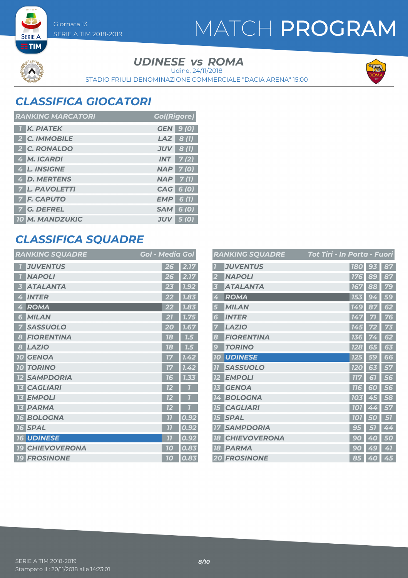MATCH PROGRAM





UDINESE *vs* ROMA

Udine, 24/11/2018

STADIO FRIULI DENOMINAZIONE COMMERCIALE "DACIA ARENA" 15:00



### *CLASSIFICA GIOCATORI*

SERIE A TIM 2018-2019

Giornata 13

| <b>RANKING MARCATORI</b> | <b>Gol(Rigore)</b> |
|--------------------------|--------------------|
| <b>K. PIATEK</b>         | <b>GEN</b> 9 (0)   |
| 2 C. IMMOBILE            | $LAZ$ 8(1)         |
| 2 C. RONALDO             | $JUV$ 8 (1)        |
| 4 M. ICARDI              | $INT$ 7(2)         |
| 4 L. INSIGNE             | <b>NAP 7(0)</b>    |
| 4 D. MERTENS             | $NAP$ 7(1)         |
| 7 L. PAVOLETTI           | CAG 6 (0)          |
| <b>7 F. CAPUTO</b>       | $EMP$ 6(1)         |
| 7 G. DEFREL              | <b>SAM 6 (0)</b>   |
| 10 M. MANDZUKIC          | $JUV$ 5 (0)        |

### *CLASSIFICA SQUADRE*

| <b>RANKING SQUADRE</b>           | <b>Gol - Media Gol</b>  |
|----------------------------------|-------------------------|
| <b>JUVENTUS</b>                  | 26<br>2.17              |
| <b>NAPOLI</b>                    | 2.17<br>26              |
| <b>ATALANTA</b><br>3             | 7.92<br>23              |
| <b>INTER</b><br>4                | 7.83<br>22              |
| ROMA<br>4                        | 7.83<br>22              |
| <b>MILAN</b><br>6                | 21<br>1.75              |
| <b>SASSUOLO</b><br>7             | 20<br>1.67              |
| <b>FIORENTINA</b><br>8           | 78<br>1.5               |
| <b>LAZIO</b><br>8                | 18<br>7.5               |
| <b>10 GENOA</b>                  | 1.42<br>17              |
| <b>TORINO</b><br>10 <sup>1</sup> | 1.42<br>17              |
| <b>SAMPDORIA</b>                 | 1.33<br>16              |
| <b>CAGLIARI</b><br>13            | 12                      |
| <b>13 EMPOLI</b>                 | 12<br>7                 |
| <b>13 PARMA</b>                  | 72                      |
| <b>BOLOGNA</b><br><b>16</b>      | $\overline{1}$<br>0.92  |
| <b>16 SPAL</b>                   | $\overline{1}$<br>0.92  |
| <b>16 UDINESE</b>                | 0.92<br>$\overline{11}$ |
| <b>CHIEVOVERONA</b><br>79        | 0.83<br>10              |
| <b>19 FROSINONE</b>              | 0.83<br>10              |

|           | <b>RANKING SQUADRE</b> | Tot Tiri - In Porta - Fuori |                  |        |    |
|-----------|------------------------|-----------------------------|------------------|--------|----|
|           | <b>JUVENTUS</b>        |                             | <b>180</b>       | 93     | 87 |
| 2         | <b>NAPOLI</b>          |                             | 176              | 89     | 87 |
| 3         | <b>ATALANTA</b>        |                             | 167              | 88     | 79 |
| 4         | <b>ROMA</b>            |                             | 153              | 94     | 59 |
| 5         | <b>MILAN</b>           |                             | 149              | 87     | 62 |
| 6         | <b>INTER</b>           |                             | 147              | 71     | 76 |
| 7         | <b>LAZIO</b>           |                             | 145              |        | 73 |
| 8         | <b>FIORENTINA</b>      |                             | 136              | 74     | 62 |
| 9         | <b>TORINO</b>          |                             | $\overline{128}$ | 65     | 63 |
| <b>10</b> | <b>UDINESE</b>         |                             | 125              | 59     | 66 |
| 77        | <b>SASSUOLO</b>        |                             | <b>120</b>       | 63     | 57 |
| 12        | <b>EMPOLI</b>          |                             | <b>777</b>       | 61     | 56 |
| 13        | <b>GENOA</b>           |                             | <b>116</b>       | 60     | 56 |
| 14        | <b>BOLOGNA</b>         |                             | <b>103</b>       | 45     | 58 |
| 15        | <b>CAGLIARI</b>        |                             | <b>101</b>       | 4<br>4 | 57 |
| 75        | <b>SPAL</b>            | <b>101</b>                  |                  | O      | 51 |
| 17        | <b>SAMPDORIA</b>       |                             | 95               | 51     | 44 |
| 18        | <b>CHIEVOVERONA</b>    | 9                           | 0                | 40     | 50 |
| 18        | <b>PARMA</b>           | 90                          |                  | 49     | 41 |
|           | <b>20 FROSINONE</b>    |                             |                  | 85 40  | 45 |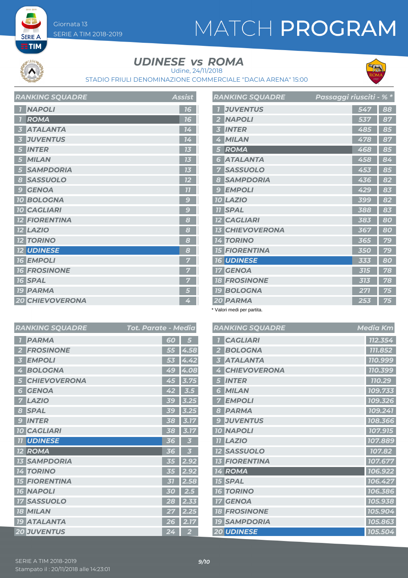## MATCH PROGRAM



**SERIE A** 

## UDINESE *vs* ROMA

Udine, 24/11/2018

STADIO FRIULI DENOMINAZIONE COMMERCIALE "DACIA ARENA" 15:00



| <b>RANKING SQUADRE</b> | Assist                  |
|------------------------|-------------------------|
| <b>NAPOLI</b>          | 16                      |
| <b>ROMA</b>            | 16                      |
| <b>ATALANTA</b>        | $\overline{14}$         |
| <b>JUVENTUS</b>        | 14                      |
| <b>INTER</b>           | 73                      |
| <b>MILAN</b>           | 13                      |
| <b>SAMPDORIA</b>       | 13                      |
| <b>SASSUOLO</b><br>8   | 12                      |
| <b>GENOA</b><br>9      | 77                      |
| <b>10 BOLOGNA</b>      | 9                       |
| <b>10 CAGLIARI</b>     | $\overline{\mathsf{C}}$ |
| <b>FIORENTINA</b>      | 8                       |
| <b>12 LAZIO</b>        | 8                       |
| <b>12 TORINO</b>       | 8                       |
| <b>12 UDINESE</b>      | 8                       |
| <b>16 EMPOLI</b>       | 5                       |
| <b>16 FROSINONE</b>    | 7                       |
| <b>16 SPAL</b>         | 7                       |
| <b>19 PARMA</b>        |                         |
| <b>20 CHIEVOVERONA</b> | 4                       |

| <b>RANKING SQUADRE</b>                 | Passaggi riusciti - % * |     |    |
|----------------------------------------|-------------------------|-----|----|
| <b>JUVENTUS</b>                        |                         | 547 | 88 |
| <b>NAPOLI</b>                          |                         | 537 | 87 |
| <b>INTER</b><br>k                      |                         | 485 | 85 |
| <b>MILAN</b><br>4                      |                         | 478 | 87 |
| <b>ROMA</b><br>5                       |                         | 468 | 85 |
| <b>ATALANTA</b><br>6                   |                         | 458 | 84 |
| <b>SASSUOLO</b><br>7                   |                         | 453 | 85 |
| <b>SAMPDORIA</b><br>8                  |                         | 436 | 82 |
| <b>EMPOLI</b><br>$\epsilon$            |                         | 429 | 83 |
| <b>10 LAZIO</b>                        |                         | 399 | 82 |
| <b>11 SPAL</b>                         |                         | 388 | 83 |
| <b>12 CAGLIARI</b>                     |                         | 383 | 80 |
| <b>CHIEVOVERONA</b><br>13 <sup>7</sup> |                         | 367 | 80 |
| <b>14 TORINO</b>                       |                         | 365 | 79 |
| <b>15 FIORENTINA</b>                   |                         | 350 | 79 |
| <b>16 UDINESE</b>                      |                         | 333 | 80 |
| <b>GENOA</b><br>$17\,$                 |                         | 315 | 78 |
| <b>FROSINONE</b><br>18                 |                         | 313 | 78 |
| <b>19 BOLOGNA</b>                      |                         | 271 | 75 |
| 20 PARMA                               |                         | 253 | 75 |

\* Valori medi per partita.

|                         | RANKING SQUADRE      | Tot. Parate - Media |                | <b>RAN</b>      |                    |
|-------------------------|----------------------|---------------------|----------------|-----------------|--------------------|
| $\mathbf{7}$            | <b>PARMA</b>         | 60                  | 5              |                 | $\mathsf{C}$       |
| $\overline{2}$          | <b>FROSINONE</b>     | 55                  | 4.58           | $\overline{2}$  | E                  |
| $\overline{\mathbf{3}}$ | <b>EMPOLI</b>        | 53                  | 4.42           |                 | A                  |
| 4                       | <b>BOLOGNA</b>       | 49                  | 4.08           | 4               | $\mathsf{C}$       |
| 5                       | <b>CHIEVOVERONA</b>  | 45                  | 3.75           | 5               | $\mathbf{I}$       |
| $6\phantom{1}6$         | <b>GENOA</b>         | 42                  | 3.5            | 3               | $\mathbf{\Lambda}$ |
| 7                       | <b>LAZIO</b>         | 39                  | 3.25           |                 | E                  |
| 8                       | <b>SPAL</b>          | 39                  | 3.25           | 8               | F                  |
| 9                       | <b>INTER</b>         | 38                  | 3.17           | 9               | J                  |
|                         | <b>10 CAGLIARI</b>   | 38                  | 3.17           | $70^{\circ}$    | $\mathsf{N}$       |
|                         | <b>11 UDINESE</b>    | 36                  | 3              | 77              | $\mathbf{L}$       |
|                         | <b>12 ROMA</b>       | 36                  | 3              | $\overline{12}$ | $ \mathsf{s} $     |
|                         | <b>13 SAMPDORIA</b>  | 35                  | 2.92           | 13              | F                  |
|                         | <b>14 TORINO</b>     | 35                  | 2.92           | $14$ $F$        |                    |
|                         | <b>15 FIORENTINA</b> | 31                  | 2.58           | 15              | ls                 |
|                         | <b>16 NAPOLI</b>     | 30                  | 2.5            | <b>16</b>       | $\overline{I}$     |
|                         | <b>17 SASSUOLO</b>   | 28                  | 2.33           | $17\,$          | $\mathsf{C}$       |
|                         | <b>18 MILAN</b>      | 27                  | 2.25           | 78              | F                  |
|                         | <b>19 ATALANTA</b>   | 26                  | 2.17           | <b>19 S</b>     |                    |
|                         | <b>20 JUVENTUS</b>   | 24                  | $\overline{2}$ | 20L             |                    |

|                 | <b>RANKING SQUADRE</b> | <b>Media Km</b> |
|-----------------|------------------------|-----------------|
| $\overline{1}$  | <b>CAGLIARI</b>        | 112.354         |
| 2               | <b>BOLOGNA</b>         | 111.852         |
| 3               | <b>ATALANTA</b>        | 110.999         |
| 4               | <b>CHIEVOVERONA</b>    | 110.399         |
| 5               | <b>INTER</b>           | 110.29          |
| 6               | <b>MILAN</b>           | 109.733         |
| 7               | <b>EMPOLI</b>          | 109.326         |
| 8               | <b>PARMA</b>           | 109.241         |
| 9               | <b>JUVENTUS</b>        | 108.366         |
|                 | <b>10 NAPOLI</b>       | 107.915         |
|                 | <b>11 LAZIO</b>        | 107.889         |
|                 | <b>12 SASSUOLO</b>     | 107.82          |
| 13              | <b>FIORENTINA</b>      | 107.677         |
|                 | 14 ROMA                | 106.922         |
|                 | <b>15 SPAL</b>         | 106.427         |
|                 | <b>16 TORINO</b>       | 106.386         |
| $17\phantom{.}$ | <b>GENOA</b>           | 105.938         |
|                 | <b>18 FROSINONE</b>    | 105.904         |
|                 | <b>19 SAMPDORIA</b>    | 105.863         |
|                 | <b>20 UDINESE</b>      | 105.504         |